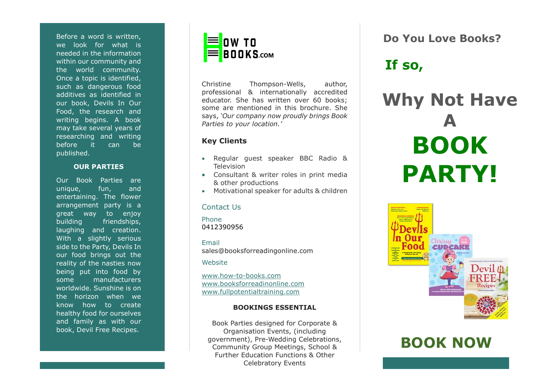Before a word is written, we look for what is needed in the information within our community and the world community. Once a topic is identified, such as dangerous food additives as identified in our book , Devils In Our Food, the research and writing begins. A book may take several years of researching and writing before it can be published.

#### **OUR PARTIES**

Our Book Parties are unique, fun, and entertaining. The flower arrangement party is a great way to enjoy building friendships, laughing and creation . With a slightly serious side to the Party, Devils In our food brings ou t the reality of the nasties now being put into food by some manufacturers worldwide. Sunshine is on the horizon when we know how to create healthy food for ourselves and family as with our book, Devil Free Recipes.



Christine Thompson -Wells, author, professional & internationally accredited educator. She has written over 60 books ; some are mentioned in this brochure. She says, *'Our company now proudly brings Book Parties to your location.'*

## **Key Clients**

- Regular guest speaker BBC Radio & Television
- Consultant & writer roles in print media & other production s
- Motivational speaker for adults & children

#### Contact Us

Phone 0412390956

Email sales@booksforreadingonline.com

**Website** 

www.how -to [-books.com](http://www.how-to-books.com/) [www.booksforreadinonline.com](http://www.booksforreadinonline.com/) [www.fullpotentialtraining.com](http://www.fullpotentialtraining.com/)

## **BOOKINGS ESSENTIAL**

Book Parties designed for Corporate & Organisation Events, (including government) , Pre -Wedding Celebrations, Community Group Meetings, School & Further Education Functions & Other Celebratory Events

**Do You Love Books?**

# **If so,**

# **Why Not Have BOOK PARTY!**



# **BOOK NOW**